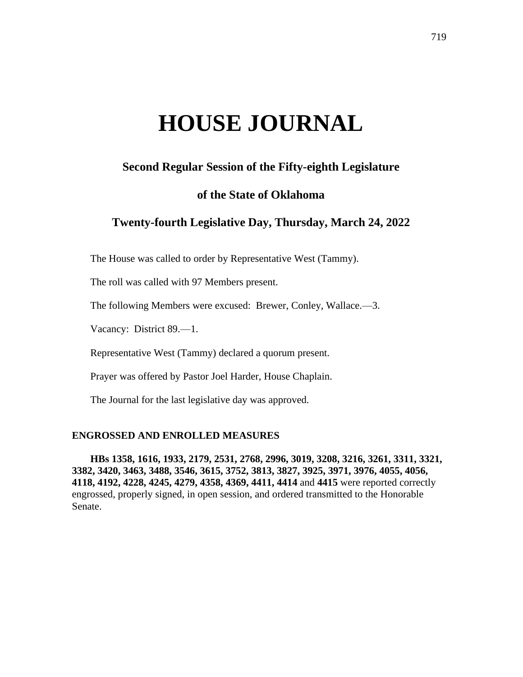# **HOUSE JOURNAL**

# **Second Regular Session of the Fifty-eighth Legislature**

# **of the State of Oklahoma**

# **Twenty-fourth Legislative Day, Thursday, March 24, 2022**

The House was called to order by Representative West (Tammy).

The roll was called with 97 Members present.

The following Members were excused: Brewer, Conley, Wallace.—3.

Vacancy: District 89.—1.

Representative West (Tammy) declared a quorum present.

Prayer was offered by Pastor Joel Harder, House Chaplain.

The Journal for the last legislative day was approved.

#### **ENGROSSED AND ENROLLED MEASURES**

**HBs 1358, 1616, 1933, 2179, 2531, 2768, 2996, 3019, 3208, 3216, 3261, 3311, 3321, 3382, 3420, 3463, 3488, 3546, 3615, 3752, 3813, 3827, 3925, 3971, 3976, 4055, 4056, 4118, 4192, 4228, 4245, 4279, 4358, 4369, 4411, 4414** and **4415** were reported correctly engrossed, properly signed, in open session, and ordered transmitted to the Honorable Senate.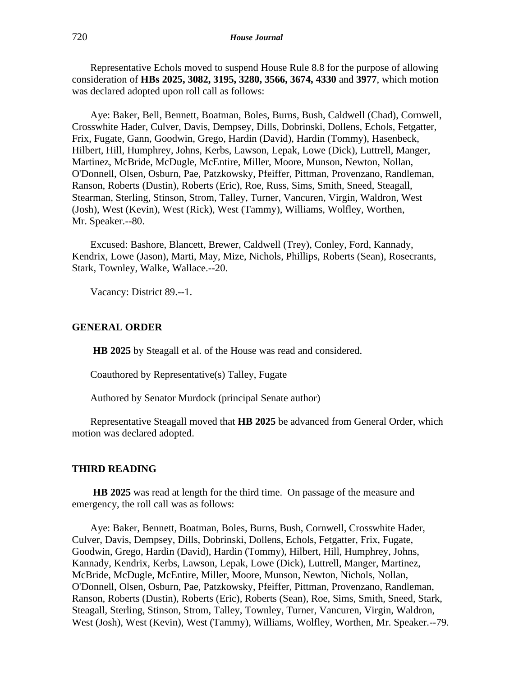Representative Echols moved to suspend House Rule 8.8 for the purpose of allowing consideration of **HBs 2025, 3082, 3195, 3280, 3566, 3674, 4330** and **3977**, which motion was declared adopted upon roll call as follows:

Aye: Baker, Bell, Bennett, Boatman, Boles, Burns, Bush, Caldwell (Chad), Cornwell, Crosswhite Hader, Culver, Davis, Dempsey, Dills, Dobrinski, Dollens, Echols, Fetgatter, Frix, Fugate, Gann, Goodwin, Grego, Hardin (David), Hardin (Tommy), Hasenbeck, Hilbert, Hill, Humphrey, Johns, Kerbs, Lawson, Lepak, Lowe (Dick), Luttrell, Manger, Martinez, McBride, McDugle, McEntire, Miller, Moore, Munson, Newton, Nollan, O'Donnell, Olsen, Osburn, Pae, Patzkowsky, Pfeiffer, Pittman, Provenzano, Randleman, Ranson, Roberts (Dustin), Roberts (Eric), Roe, Russ, Sims, Smith, Sneed, Steagall, Stearman, Sterling, Stinson, Strom, Talley, Turner, Vancuren, Virgin, Waldron, West (Josh), West (Kevin), West (Rick), West (Tammy), Williams, Wolfley, Worthen, Mr. Speaker.--80.

Excused: Bashore, Blancett, Brewer, Caldwell (Trey), Conley, Ford, Kannady, Kendrix, Lowe (Jason), Marti, May, Mize, Nichols, Phillips, Roberts (Sean), Rosecrants, Stark, Townley, Walke, Wallace.--20.

Vacancy: District 89.--1.

#### **GENERAL ORDER**

**HB 2025** by Steagall et al. of the House was read and considered.

Coauthored by Representative(s) Talley, Fugate

Authored by Senator Murdock (principal Senate author)

Representative Steagall moved that **HB 2025** be advanced from General Order, which motion was declared adopted.

#### **THIRD READING**

**HB 2025** was read at length for the third time. On passage of the measure and emergency, the roll call was as follows:

Aye: Baker, Bennett, Boatman, Boles, Burns, Bush, Cornwell, Crosswhite Hader, Culver, Davis, Dempsey, Dills, Dobrinski, Dollens, Echols, Fetgatter, Frix, Fugate, Goodwin, Grego, Hardin (David), Hardin (Tommy), Hilbert, Hill, Humphrey, Johns, Kannady, Kendrix, Kerbs, Lawson, Lepak, Lowe (Dick), Luttrell, Manger, Martinez, McBride, McDugle, McEntire, Miller, Moore, Munson, Newton, Nichols, Nollan, O'Donnell, Olsen, Osburn, Pae, Patzkowsky, Pfeiffer, Pittman, Provenzano, Randleman, Ranson, Roberts (Dustin), Roberts (Eric), Roberts (Sean), Roe, Sims, Smith, Sneed, Stark, Steagall, Sterling, Stinson, Strom, Talley, Townley, Turner, Vancuren, Virgin, Waldron, West (Josh), West (Kevin), West (Tammy), Williams, Wolfley, Worthen, Mr. Speaker.--79.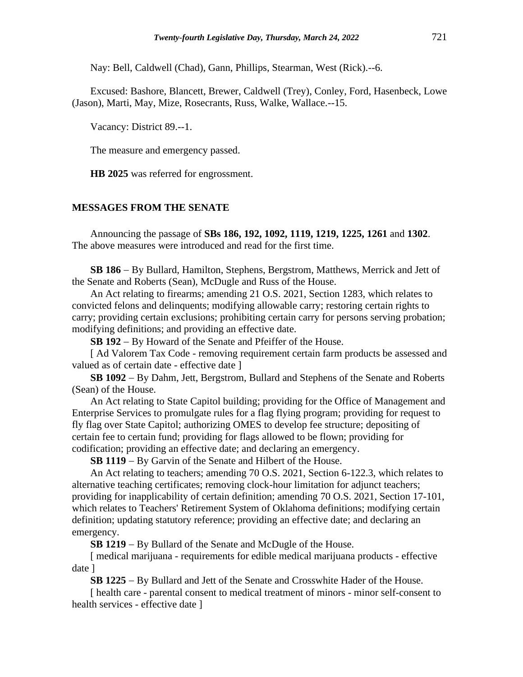Nay: Bell, Caldwell (Chad), Gann, Phillips, Stearman, West (Rick).--6.

Excused: Bashore, Blancett, Brewer, Caldwell (Trey), Conley, Ford, Hasenbeck, Lowe (Jason), Marti, May, Mize, Rosecrants, Russ, Walke, Wallace.--15.

Vacancy: District 89.--1.

The measure and emergency passed.

**HB 2025** was referred for engrossment.

## **MESSAGES FROM THE SENATE**

Announcing the passage of **SBs 186, 192, 1092, 1119, 1219, 1225, 1261** and **1302**. The above measures were introduced and read for the first time.

**SB 186** − By Bullard, Hamilton, Stephens, Bergstrom, Matthews, Merrick and Jett of the Senate and Roberts (Sean), McDugle and Russ of the House.

An Act relating to firearms; amending 21 O.S. 2021, Section 1283, which relates to convicted felons and delinquents; modifying allowable carry; restoring certain rights to carry; providing certain exclusions; prohibiting certain carry for persons serving probation; modifying definitions; and providing an effective date.

**SB 192** − By Howard of the Senate and Pfeiffer of the House.

[Ad Valorem Tax Code - removing requirement certain farm products be assessed and valued as of certain date - effective date ]

**SB 1092** − By Dahm, Jett, Bergstrom, Bullard and Stephens of the Senate and Roberts (Sean) of the House.

An Act relating to State Capitol building; providing for the Office of Management and Enterprise Services to promulgate rules for a flag flying program; providing for request to fly flag over State Capitol; authorizing OMES to develop fee structure; depositing of certain fee to certain fund; providing for flags allowed to be flown; providing for codification; providing an effective date; and declaring an emergency.

**SB 1119** − By Garvin of the Senate and Hilbert of the House.

An Act relating to teachers; amending 70 O.S. 2021, Section 6-122.3, which relates to alternative teaching certificates; removing clock-hour limitation for adjunct teachers; providing for inapplicability of certain definition; amending 70 O.S. 2021, Section 17-101, which relates to Teachers' Retirement System of Oklahoma definitions; modifying certain definition; updating statutory reference; providing an effective date; and declaring an emergency.

**SB 1219** − By Bullard of the Senate and McDugle of the House.

[ medical marijuana - requirements for edible medical marijuana products - effective date ]

**SB 1225** − By Bullard and Jett of the Senate and Crosswhite Hader of the House.

[ health care - parental consent to medical treatment of minors - minor self-consent to health services - effective date ]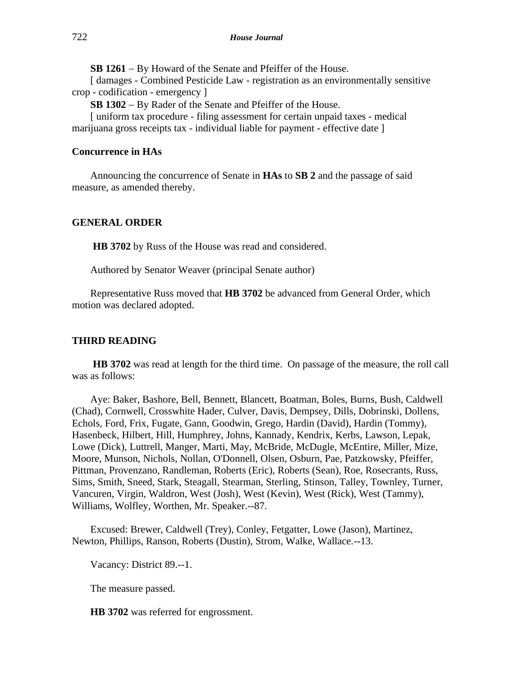**SB 1261** − By Howard of the Senate and Pfeiffer of the House.

[ damages - Combined Pesticide Law - registration as an environmentally sensitive crop - codification - emergency ]

**SB 1302** − By Rader of the Senate and Pfeiffer of the House.

[ uniform tax procedure - filing assessment for certain unpaid taxes - medical marijuana gross receipts tax - individual liable for payment - effective date ]

# **Concurrence in HAs**

Announcing the concurrence of Senate in **HAs** to **SB 2** and the passage of said measure, as amended thereby.

# **GENERAL ORDER**

**HB 3702** by Russ of the House was read and considered.

Authored by Senator Weaver (principal Senate author)

Representative Russ moved that **HB 3702** be advanced from General Order, which motion was declared adopted.

## **THIRD READING**

**HB 3702** was read at length for the third time. On passage of the measure, the roll call was as follows:

Aye: Baker, Bashore, Bell, Bennett, Blancett, Boatman, Boles, Burns, Bush, Caldwell (Chad), Cornwell, Crosswhite Hader, Culver, Davis, Dempsey, Dills, Dobrinski, Dollens, Echols, Ford, Frix, Fugate, Gann, Goodwin, Grego, Hardin (David), Hardin (Tommy), Hasenbeck, Hilbert, Hill, Humphrey, Johns, Kannady, Kendrix, Kerbs, Lawson, Lepak, Lowe (Dick), Luttrell, Manger, Marti, May, McBride, McDugle, McEntire, Miller, Mize, Moore, Munson, Nichols, Nollan, O'Donnell, Olsen, Osburn, Pae, Patzkowsky, Pfeiffer, Pittman, Provenzano, Randleman, Roberts (Eric), Roberts (Sean), Roe, Rosecrants, Russ, Sims, Smith, Sneed, Stark, Steagall, Stearman, Sterling, Stinson, Talley, Townley, Turner, Vancuren, Virgin, Waldron, West (Josh), West (Kevin), West (Rick), West (Tammy), Williams, Wolfley, Worthen, Mr. Speaker.--87.

Excused: Brewer, Caldwell (Trey), Conley, Fetgatter, Lowe (Jason), Martinez, Newton, Phillips, Ranson, Roberts (Dustin), Strom, Walke, Wallace.--13.

Vacancy: District 89.--1.

The measure passed.

**HB 3702** was referred for engrossment.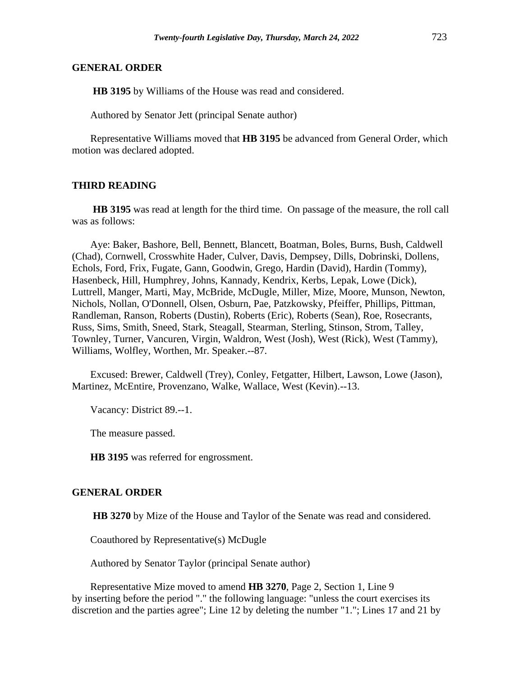#### **GENERAL ORDER**

**HB 3195** by Williams of the House was read and considered.

Authored by Senator Jett (principal Senate author)

Representative Williams moved that **HB 3195** be advanced from General Order, which motion was declared adopted.

#### **THIRD READING**

**HB 3195** was read at length for the third time. On passage of the measure, the roll call was as follows:

Aye: Baker, Bashore, Bell, Bennett, Blancett, Boatman, Boles, Burns, Bush, Caldwell (Chad), Cornwell, Crosswhite Hader, Culver, Davis, Dempsey, Dills, Dobrinski, Dollens, Echols, Ford, Frix, Fugate, Gann, Goodwin, Grego, Hardin (David), Hardin (Tommy), Hasenbeck, Hill, Humphrey, Johns, Kannady, Kendrix, Kerbs, Lepak, Lowe (Dick), Luttrell, Manger, Marti, May, McBride, McDugle, Miller, Mize, Moore, Munson, Newton, Nichols, Nollan, O'Donnell, Olsen, Osburn, Pae, Patzkowsky, Pfeiffer, Phillips, Pittman, Randleman, Ranson, Roberts (Dustin), Roberts (Eric), Roberts (Sean), Roe, Rosecrants, Russ, Sims, Smith, Sneed, Stark, Steagall, Stearman, Sterling, Stinson, Strom, Talley, Townley, Turner, Vancuren, Virgin, Waldron, West (Josh), West (Rick), West (Tammy), Williams, Wolfley, Worthen, Mr. Speaker.--87.

Excused: Brewer, Caldwell (Trey), Conley, Fetgatter, Hilbert, Lawson, Lowe (Jason), Martinez, McEntire, Provenzano, Walke, Wallace, West (Kevin).--13.

Vacancy: District 89.--1.

The measure passed.

**HB 3195** was referred for engrossment.

#### **GENERAL ORDER**

**HB 3270** by Mize of the House and Taylor of the Senate was read and considered.

Coauthored by Representative(s) McDugle

Authored by Senator Taylor (principal Senate author)

Representative Mize moved to amend **HB 3270**, Page 2, Section 1, Line 9 by inserting before the period "." the following language: "unless the court exercises its discretion and the parties agree"; Line 12 by deleting the number "1."; Lines 17 and 21 by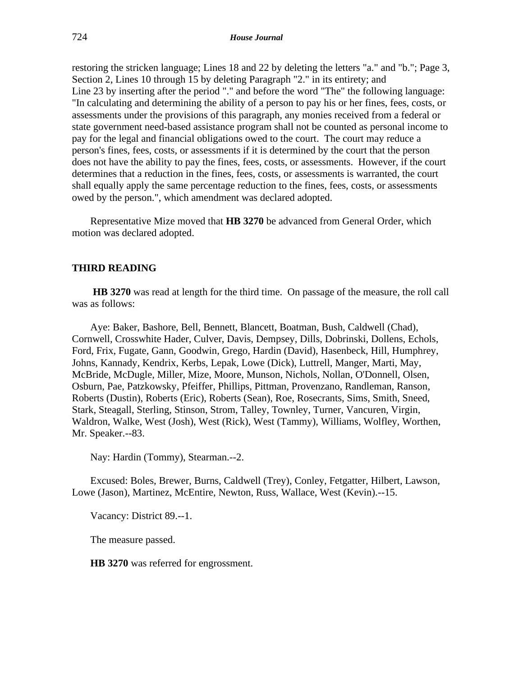restoring the stricken language; Lines 18 and 22 by deleting the letters "a." and "b."; Page 3, Section 2, Lines 10 through 15 by deleting Paragraph "2." in its entirety; and Line 23 by inserting after the period "." and before the word "The" the following language: "In calculating and determining the ability of a person to pay his or her fines, fees, costs, or assessments under the provisions of this paragraph, any monies received from a federal or state government need-based assistance program shall not be counted as personal income to pay for the legal and financial obligations owed to the court. The court may reduce a person's fines, fees, costs, or assessments if it is determined by the court that the person does not have the ability to pay the fines, fees, costs, or assessments. However, if the court determines that a reduction in the fines, fees, costs, or assessments is warranted, the court shall equally apply the same percentage reduction to the fines, fees, costs, or assessments owed by the person.", which amendment was declared adopted.

Representative Mize moved that **HB 3270** be advanced from General Order, which motion was declared adopted.

#### **THIRD READING**

**HB 3270** was read at length for the third time. On passage of the measure, the roll call was as follows:

Aye: Baker, Bashore, Bell, Bennett, Blancett, Boatman, Bush, Caldwell (Chad), Cornwell, Crosswhite Hader, Culver, Davis, Dempsey, Dills, Dobrinski, Dollens, Echols, Ford, Frix, Fugate, Gann, Goodwin, Grego, Hardin (David), Hasenbeck, Hill, Humphrey, Johns, Kannady, Kendrix, Kerbs, Lepak, Lowe (Dick), Luttrell, Manger, Marti, May, McBride, McDugle, Miller, Mize, Moore, Munson, Nichols, Nollan, O'Donnell, Olsen, Osburn, Pae, Patzkowsky, Pfeiffer, Phillips, Pittman, Provenzano, Randleman, Ranson, Roberts (Dustin), Roberts (Eric), Roberts (Sean), Roe, Rosecrants, Sims, Smith, Sneed, Stark, Steagall, Sterling, Stinson, Strom, Talley, Townley, Turner, Vancuren, Virgin, Waldron, Walke, West (Josh), West (Rick), West (Tammy), Williams, Wolfley, Worthen, Mr. Speaker.--83.

Nay: Hardin (Tommy), Stearman.--2.

Excused: Boles, Brewer, Burns, Caldwell (Trey), Conley, Fetgatter, Hilbert, Lawson, Lowe (Jason), Martinez, McEntire, Newton, Russ, Wallace, West (Kevin).--15.

Vacancy: District 89.--1.

The measure passed.

**HB 3270** was referred for engrossment.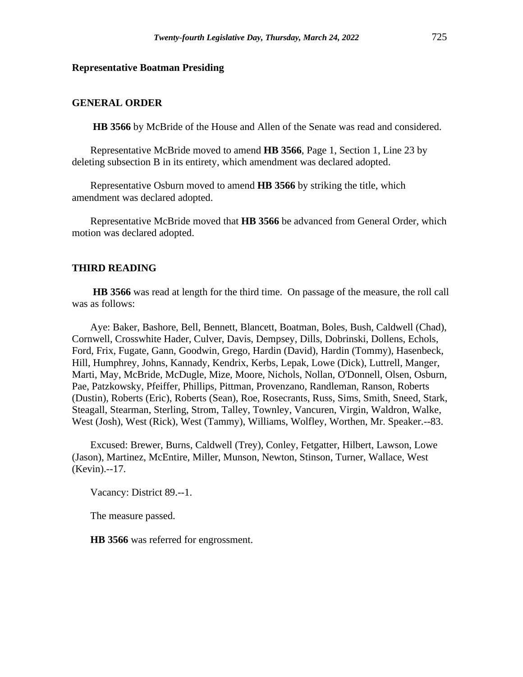#### **Representative Boatman Presiding**

#### **GENERAL ORDER**

**HB 3566** by McBride of the House and Allen of the Senate was read and considered.

Representative McBride moved to amend **HB 3566**, Page 1, Section 1, Line 23 by deleting subsection B in its entirety, which amendment was declared adopted.

Representative Osburn moved to amend **HB 3566** by striking the title, which amendment was declared adopted.

Representative McBride moved that **HB 3566** be advanced from General Order, which motion was declared adopted.

#### **THIRD READING**

**HB 3566** was read at length for the third time. On passage of the measure, the roll call was as follows:

Aye: Baker, Bashore, Bell, Bennett, Blancett, Boatman, Boles, Bush, Caldwell (Chad), Cornwell, Crosswhite Hader, Culver, Davis, Dempsey, Dills, Dobrinski, Dollens, Echols, Ford, Frix, Fugate, Gann, Goodwin, Grego, Hardin (David), Hardin (Tommy), Hasenbeck, Hill, Humphrey, Johns, Kannady, Kendrix, Kerbs, Lepak, Lowe (Dick), Luttrell, Manger, Marti, May, McBride, McDugle, Mize, Moore, Nichols, Nollan, O'Donnell, Olsen, Osburn, Pae, Patzkowsky, Pfeiffer, Phillips, Pittman, Provenzano, Randleman, Ranson, Roberts (Dustin), Roberts (Eric), Roberts (Sean), Roe, Rosecrants, Russ, Sims, Smith, Sneed, Stark, Steagall, Stearman, Sterling, Strom, Talley, Townley, Vancuren, Virgin, Waldron, Walke, West (Josh), West (Rick), West (Tammy), Williams, Wolfley, Worthen, Mr. Speaker.--83.

Excused: Brewer, Burns, Caldwell (Trey), Conley, Fetgatter, Hilbert, Lawson, Lowe (Jason), Martinez, McEntire, Miller, Munson, Newton, Stinson, Turner, Wallace, West (Kevin).--17.

Vacancy: District 89.--1.

The measure passed.

**HB 3566** was referred for engrossment.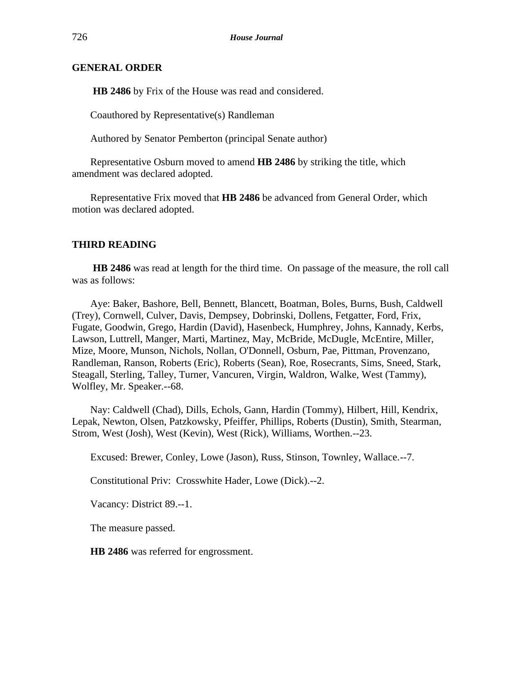# **GENERAL ORDER**

**HB 2486** by Frix of the House was read and considered.

Coauthored by Representative(s) Randleman

Authored by Senator Pemberton (principal Senate author)

Representative Osburn moved to amend **HB 2486** by striking the title, which amendment was declared adopted.

Representative Frix moved that **HB 2486** be advanced from General Order, which motion was declared adopted.

#### **THIRD READING**

**HB 2486** was read at length for the third time. On passage of the measure, the roll call was as follows:

Aye: Baker, Bashore, Bell, Bennett, Blancett, Boatman, Boles, Burns, Bush, Caldwell (Trey), Cornwell, Culver, Davis, Dempsey, Dobrinski, Dollens, Fetgatter, Ford, Frix, Fugate, Goodwin, Grego, Hardin (David), Hasenbeck, Humphrey, Johns, Kannady, Kerbs, Lawson, Luttrell, Manger, Marti, Martinez, May, McBride, McDugle, McEntire, Miller, Mize, Moore, Munson, Nichols, Nollan, O'Donnell, Osburn, Pae, Pittman, Provenzano, Randleman, Ranson, Roberts (Eric), Roberts (Sean), Roe, Rosecrants, Sims, Sneed, Stark, Steagall, Sterling, Talley, Turner, Vancuren, Virgin, Waldron, Walke, West (Tammy), Wolfley, Mr. Speaker.--68.

Nay: Caldwell (Chad), Dills, Echols, Gann, Hardin (Tommy), Hilbert, Hill, Kendrix, Lepak, Newton, Olsen, Patzkowsky, Pfeiffer, Phillips, Roberts (Dustin), Smith, Stearman, Strom, West (Josh), West (Kevin), West (Rick), Williams, Worthen.--23.

Excused: Brewer, Conley, Lowe (Jason), Russ, Stinson, Townley, Wallace.--7.

Constitutional Priv: Crosswhite Hader, Lowe (Dick).--2.

Vacancy: District 89.--1.

The measure passed.

**HB 2486** was referred for engrossment.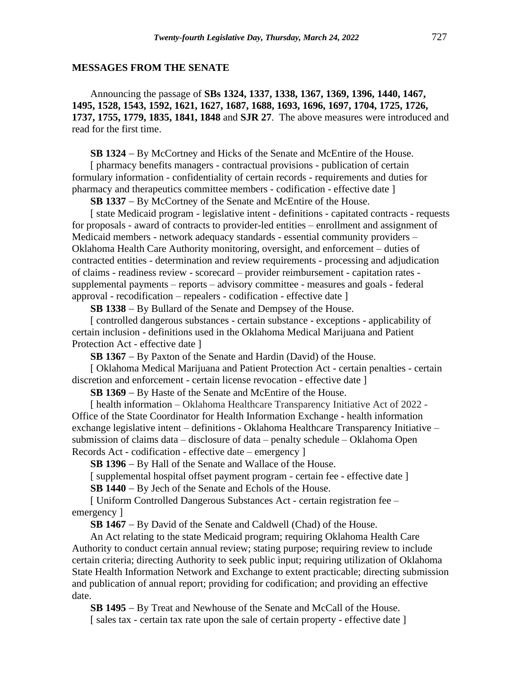#### **MESSAGES FROM THE SENATE**

Announcing the passage of **SBs 1324, 1337, 1338, 1367, 1369, 1396, 1440, 1467, 1495, 1528, 1543, 1592, 1621, 1627, 1687, 1688, 1693, 1696, 1697, 1704, 1725, 1726, 1737, 1755, 1779, 1835, 1841, 1848** and **SJR 27**. The above measures were introduced and read for the first time.

**SB 1324** − By McCortney and Hicks of the Senate and McEntire of the House.

[ pharmacy benefits managers - contractual provisions - publication of certain formulary information - confidentiality of certain records - requirements and duties for pharmacy and therapeutics committee members - codification - effective date ]

**SB 1337** − By McCortney of the Senate and McEntire of the House.

[ state Medicaid program - legislative intent - definitions - capitated contracts - requests for proposals - award of contracts to provider-led entities – enrollment and assignment of Medicaid members - network adequacy standards - essential community providers – Oklahoma Health Care Authority monitoring, oversight, and enforcement – duties of contracted entities - determination and review requirements - processing and adjudication of claims - readiness review - scorecard – provider reimbursement - capitation rates supplemental payments – reports – advisory committee - measures and goals - federal approval - recodification – repealers - codification - effective date ]

**SB 1338** − By Bullard of the Senate and Dempsey of the House.

[ controlled dangerous substances - certain substance - exceptions - applicability of certain inclusion - definitions used in the Oklahoma Medical Marijuana and Patient Protection Act - effective date ]

**SB 1367** − By Paxton of the Senate and Hardin (David) of the House.

[ Oklahoma Medical Marijuana and Patient Protection Act - certain penalties - certain discretion and enforcement - certain license revocation - effective date ]

**SB 1369** − By Haste of the Senate and McEntire of the House.

[ health information – Oklahoma Healthcare Transparency Initiative Act of 2022 -Office of the State Coordinator for Health Information Exchange - health information exchange legislative intent – definitions - Oklahoma Healthcare Transparency Initiative – submission of claims data – disclosure of data – penalty schedule – Oklahoma Open Records Act - codification - effective date – emergency ]

**SB 1396** − By Hall of the Senate and Wallace of the House.

[ supplemental hospital offset payment program - certain fee - effective date ]

**SB 1440** − By Jech of the Senate and Echols of the House.

[ Uniform Controlled Dangerous Substances Act - certain registration fee – emergency ]

**SB 1467** − By David of the Senate and Caldwell (Chad) of the House.

An Act relating to the state Medicaid program; requiring Oklahoma Health Care Authority to conduct certain annual review; stating purpose; requiring review to include certain criteria; directing Authority to seek public input; requiring utilization of Oklahoma State Health Information Network and Exchange to extent practicable; directing submission and publication of annual report; providing for codification; and providing an effective date.

**SB 1495** − By Treat and Newhouse of the Senate and McCall of the House. [ sales tax - certain tax rate upon the sale of certain property - effective date ]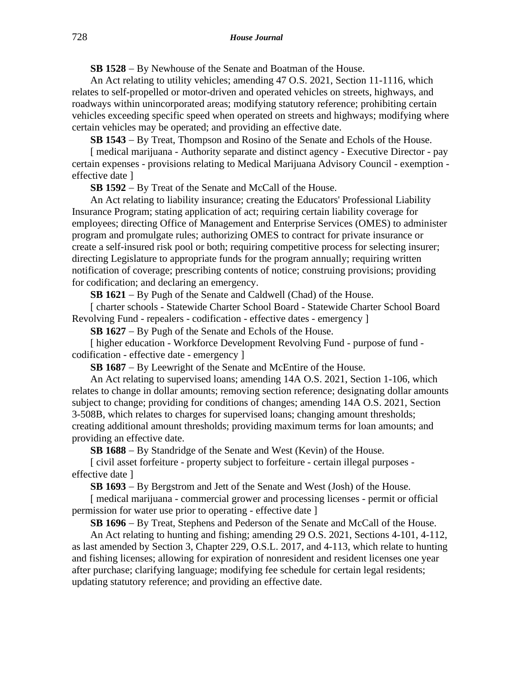**SB 1528** − By Newhouse of the Senate and Boatman of the House.

An Act relating to utility vehicles; amending 47 O.S. 2021, Section 11-1116, which relates to self-propelled or motor-driven and operated vehicles on streets, highways, and roadways within unincorporated areas; modifying statutory reference; prohibiting certain vehicles exceeding specific speed when operated on streets and highways; modifying where certain vehicles may be operated; and providing an effective date.

**SB 1543** − By Treat, Thompson and Rosino of the Senate and Echols of the House.

[ medical marijuana - Authority separate and distinct agency - Executive Director - pay certain expenses - provisions relating to Medical Marijuana Advisory Council - exemption effective date ]

**SB 1592** − By Treat of the Senate and McCall of the House.

An Act relating to liability insurance; creating the Educators' Professional Liability Insurance Program; stating application of act; requiring certain liability coverage for employees; directing Office of Management and Enterprise Services (OMES) to administer program and promulgate rules; authorizing OMES to contract for private insurance or create a self-insured risk pool or both; requiring competitive process for selecting insurer; directing Legislature to appropriate funds for the program annually; requiring written notification of coverage; prescribing contents of notice; construing provisions; providing for codification; and declaring an emergency.

**SB 1621** − By Pugh of the Senate and Caldwell (Chad) of the House.

[ charter schools - Statewide Charter School Board - Statewide Charter School Board Revolving Fund - repealers - codification - effective dates - emergency ]

**SB 1627** − By Pugh of the Senate and Echols of the House.

[ higher education - Workforce Development Revolving Fund - purpose of fund codification - effective date - emergency ]

**SB 1687** − By Leewright of the Senate and McEntire of the House.

An Act relating to supervised loans; amending 14A O.S. 2021, Section 1-106, which relates to change in dollar amounts; removing section reference; designating dollar amounts subject to change; providing for conditions of changes; amending 14A O.S. 2021, Section 3-508B, which relates to charges for supervised loans; changing amount thresholds; creating additional amount thresholds; providing maximum terms for loan amounts; and providing an effective date.

**SB 1688** − By Standridge of the Senate and West (Kevin) of the House.

[ civil asset forfeiture - property subject to forfeiture - certain illegal purposes effective date ]

**SB 1693** − By Bergstrom and Jett of the Senate and West (Josh) of the House.

[ medical marijuana - commercial grower and processing licenses - permit or official permission for water use prior to operating - effective date ]

**SB 1696** − By Treat, Stephens and Pederson of the Senate and McCall of the House.

An Act relating to hunting and fishing; amending 29 O.S. 2021, Sections 4-101, 4-112, as last amended by Section 3, Chapter 229, O.S.L. 2017, and 4-113, which relate to hunting and fishing licenses; allowing for expiration of nonresident and resident licenses one year after purchase; clarifying language; modifying fee schedule for certain legal residents; updating statutory reference; and providing an effective date.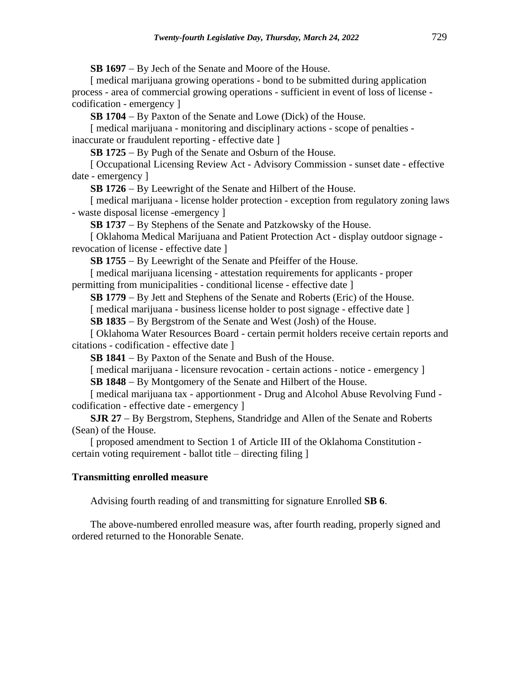**SB 1697** − By Jech of the Senate and Moore of the House.

[ medical marijuana growing operations - bond to be submitted during application process - area of commercial growing operations - sufficient in event of loss of license codification - emergency ]

**SB 1704** − By Paxton of the Senate and Lowe (Dick) of the House.

[ medical marijuana - monitoring and disciplinary actions - scope of penalties inaccurate or fraudulent reporting - effective date ]

**SB 1725** − By Pugh of the Senate and Osburn of the House.

[ Occupational Licensing Review Act - Advisory Commission - sunset date - effective date - emergency ]

**SB 1726** − By Leewright of the Senate and Hilbert of the House.

[ medical marijuana - license holder protection - exception from regulatory zoning laws - waste disposal license -emergency ]

**SB 1737** − By Stephens of the Senate and Patzkowsky of the House.

[ Oklahoma Medical Marijuana and Patient Protection Act - display outdoor signage revocation of license - effective date ]

**SB 1755** − By Leewright of the Senate and Pfeiffer of the House.

[ medical marijuana licensing - attestation requirements for applicants - proper permitting from municipalities - conditional license - effective date ]

**SB 1779** − By Jett and Stephens of the Senate and Roberts (Eric) of the House.

[ medical marijuana - business license holder to post signage - effective date ]

**SB 1835** − By Bergstrom of the Senate and West (Josh) of the House.

[ Oklahoma Water Resources Board - certain permit holders receive certain reports and citations - codification - effective date ]

**SB 1841** − By Paxton of the Senate and Bush of the House.

[ medical marijuana - licensure revocation - certain actions - notice - emergency ]

**SB 1848** − By Montgomery of the Senate and Hilbert of the House.

[ medical marijuana tax - apportionment - Drug and Alcohol Abuse Revolving Fund codification - effective date - emergency ]

**SJR 27** − By Bergstrom, Stephens, Standridge and Allen of the Senate and Roberts (Sean) of the House.

[ proposed amendment to Section 1 of Article III of the Oklahoma Constitution certain voting requirement - ballot title – directing filing ]

## **Transmitting enrolled measure**

Advising fourth reading of and transmitting for signature Enrolled **SB 6**.

The above-numbered enrolled measure was, after fourth reading, properly signed and ordered returned to the Honorable Senate.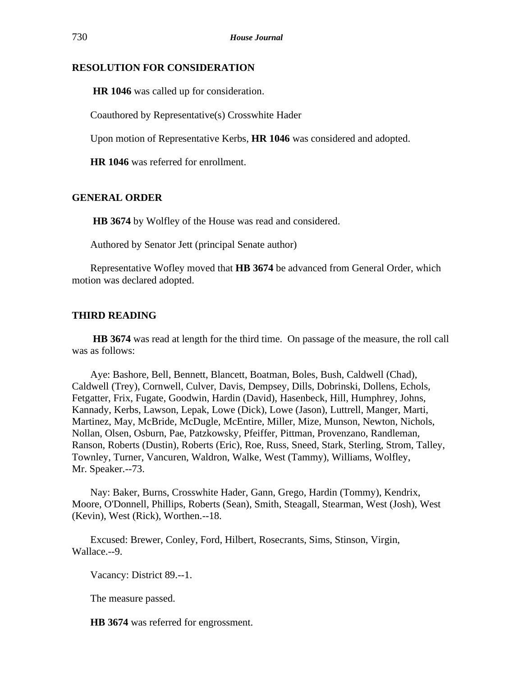# **RESOLUTION FOR CONSIDERATION**

**HR 1046** was called up for consideration.

Coauthored by Representative(s) Crosswhite Hader

Upon motion of Representative Kerbs, **HR 1046** was considered and adopted.

**HR 1046** was referred for enrollment.

# **GENERAL ORDER**

**HB 3674** by Wolfley of the House was read and considered.

Authored by Senator Jett (principal Senate author)

Representative Wofley moved that **HB 3674** be advanced from General Order, which motion was declared adopted.

## **THIRD READING**

**HB 3674** was read at length for the third time. On passage of the measure, the roll call was as follows:

Aye: Bashore, Bell, Bennett, Blancett, Boatman, Boles, Bush, Caldwell (Chad), Caldwell (Trey), Cornwell, Culver, Davis, Dempsey, Dills, Dobrinski, Dollens, Echols, Fetgatter, Frix, Fugate, Goodwin, Hardin (David), Hasenbeck, Hill, Humphrey, Johns, Kannady, Kerbs, Lawson, Lepak, Lowe (Dick), Lowe (Jason), Luttrell, Manger, Marti, Martinez, May, McBride, McDugle, McEntire, Miller, Mize, Munson, Newton, Nichols, Nollan, Olsen, Osburn, Pae, Patzkowsky, Pfeiffer, Pittman, Provenzano, Randleman, Ranson, Roberts (Dustin), Roberts (Eric), Roe, Russ, Sneed, Stark, Sterling, Strom, Talley, Townley, Turner, Vancuren, Waldron, Walke, West (Tammy), Williams, Wolfley, Mr. Speaker.--73.

Nay: Baker, Burns, Crosswhite Hader, Gann, Grego, Hardin (Tommy), Kendrix, Moore, O'Donnell, Phillips, Roberts (Sean), Smith, Steagall, Stearman, West (Josh), West (Kevin), West (Rick), Worthen.--18.

Excused: Brewer, Conley, Ford, Hilbert, Rosecrants, Sims, Stinson, Virgin, Wallace.--9.

Vacancy: District 89.--1.

The measure passed.

**HB 3674** was referred for engrossment.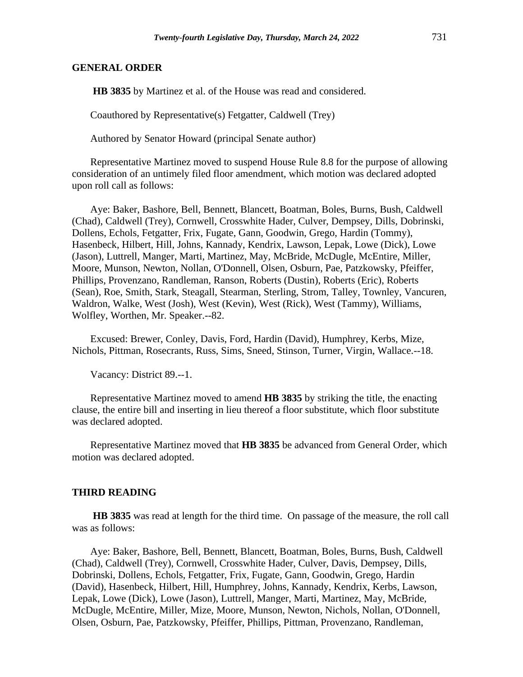#### **GENERAL ORDER**

**HB 3835** by Martinez et al. of the House was read and considered.

Coauthored by Representative(s) Fetgatter, Caldwell (Trey)

Authored by Senator Howard (principal Senate author)

Representative Martinez moved to suspend House Rule 8.8 for the purpose of allowing consideration of an untimely filed floor amendment, which motion was declared adopted upon roll call as follows:

Aye: Baker, Bashore, Bell, Bennett, Blancett, Boatman, Boles, Burns, Bush, Caldwell (Chad), Caldwell (Trey), Cornwell, Crosswhite Hader, Culver, Dempsey, Dills, Dobrinski, Dollens, Echols, Fetgatter, Frix, Fugate, Gann, Goodwin, Grego, Hardin (Tommy), Hasenbeck, Hilbert, Hill, Johns, Kannady, Kendrix, Lawson, Lepak, Lowe (Dick), Lowe (Jason), Luttrell, Manger, Marti, Martinez, May, McBride, McDugle, McEntire, Miller, Moore, Munson, Newton, Nollan, O'Donnell, Olsen, Osburn, Pae, Patzkowsky, Pfeiffer, Phillips, Provenzano, Randleman, Ranson, Roberts (Dustin), Roberts (Eric), Roberts (Sean), Roe, Smith, Stark, Steagall, Stearman, Sterling, Strom, Talley, Townley, Vancuren, Waldron, Walke, West (Josh), West (Kevin), West (Rick), West (Tammy), Williams, Wolfley, Worthen, Mr. Speaker.--82.

Excused: Brewer, Conley, Davis, Ford, Hardin (David), Humphrey, Kerbs, Mize, Nichols, Pittman, Rosecrants, Russ, Sims, Sneed, Stinson, Turner, Virgin, Wallace.--18.

Vacancy: District 89.--1.

Representative Martinez moved to amend **HB 3835** by striking the title, the enacting clause, the entire bill and inserting in lieu thereof a floor substitute, which floor substitute was declared adopted.

Representative Martinez moved that **HB 3835** be advanced from General Order, which motion was declared adopted.

#### **THIRD READING**

**HB 3835** was read at length for the third time. On passage of the measure, the roll call was as follows:

Aye: Baker, Bashore, Bell, Bennett, Blancett, Boatman, Boles, Burns, Bush, Caldwell (Chad), Caldwell (Trey), Cornwell, Crosswhite Hader, Culver, Davis, Dempsey, Dills, Dobrinski, Dollens, Echols, Fetgatter, Frix, Fugate, Gann, Goodwin, Grego, Hardin (David), Hasenbeck, Hilbert, Hill, Humphrey, Johns, Kannady, Kendrix, Kerbs, Lawson, Lepak, Lowe (Dick), Lowe (Jason), Luttrell, Manger, Marti, Martinez, May, McBride, McDugle, McEntire, Miller, Mize, Moore, Munson, Newton, Nichols, Nollan, O'Donnell, Olsen, Osburn, Pae, Patzkowsky, Pfeiffer, Phillips, Pittman, Provenzano, Randleman,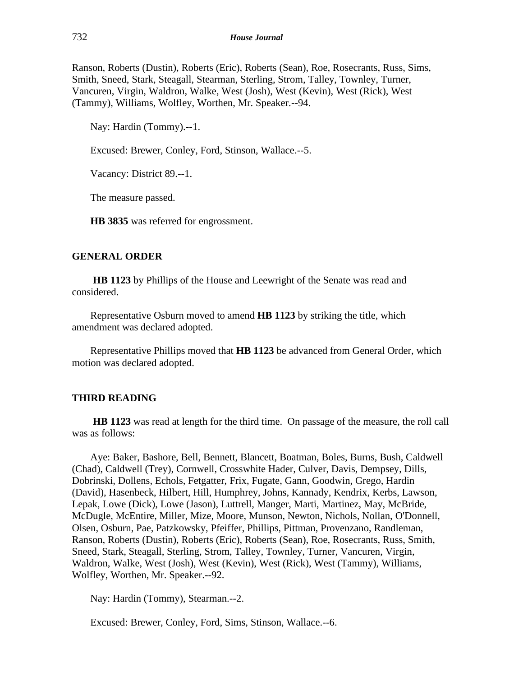Ranson, Roberts (Dustin), Roberts (Eric), Roberts (Sean), Roe, Rosecrants, Russ, Sims, Smith, Sneed, Stark, Steagall, Stearman, Sterling, Strom, Talley, Townley, Turner, Vancuren, Virgin, Waldron, Walke, West (Josh), West (Kevin), West (Rick), West (Tammy), Williams, Wolfley, Worthen, Mr. Speaker.--94.

Nay: Hardin (Tommy).--1.

Excused: Brewer, Conley, Ford, Stinson, Wallace.--5.

Vacancy: District 89.--1.

The measure passed.

**HB 3835** was referred for engrossment.

#### **GENERAL ORDER**

**HB 1123** by Phillips of the House and Leewright of the Senate was read and considered.

Representative Osburn moved to amend **HB 1123** by striking the title, which amendment was declared adopted.

Representative Phillips moved that **HB 1123** be advanced from General Order, which motion was declared adopted.

#### **THIRD READING**

**HB 1123** was read at length for the third time. On passage of the measure, the roll call was as follows:

Aye: Baker, Bashore, Bell, Bennett, Blancett, Boatman, Boles, Burns, Bush, Caldwell (Chad), Caldwell (Trey), Cornwell, Crosswhite Hader, Culver, Davis, Dempsey, Dills, Dobrinski, Dollens, Echols, Fetgatter, Frix, Fugate, Gann, Goodwin, Grego, Hardin (David), Hasenbeck, Hilbert, Hill, Humphrey, Johns, Kannady, Kendrix, Kerbs, Lawson, Lepak, Lowe (Dick), Lowe (Jason), Luttrell, Manger, Marti, Martinez, May, McBride, McDugle, McEntire, Miller, Mize, Moore, Munson, Newton, Nichols, Nollan, O'Donnell, Olsen, Osburn, Pae, Patzkowsky, Pfeiffer, Phillips, Pittman, Provenzano, Randleman, Ranson, Roberts (Dustin), Roberts (Eric), Roberts (Sean), Roe, Rosecrants, Russ, Smith, Sneed, Stark, Steagall, Sterling, Strom, Talley, Townley, Turner, Vancuren, Virgin, Waldron, Walke, West (Josh), West (Kevin), West (Rick), West (Tammy), Williams, Wolfley, Worthen, Mr. Speaker.--92.

Nay: Hardin (Tommy), Stearman.--2.

Excused: Brewer, Conley, Ford, Sims, Stinson, Wallace.--6.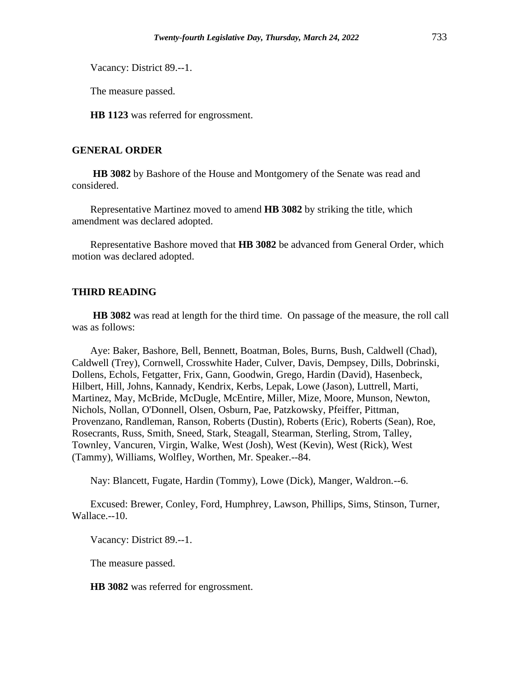Vacancy: District 89.--1.

The measure passed.

**HB 1123** was referred for engrossment.

# **GENERAL ORDER**

**HB 3082** by Bashore of the House and Montgomery of the Senate was read and considered.

Representative Martinez moved to amend **HB 3082** by striking the title, which amendment was declared adopted.

Representative Bashore moved that **HB 3082** be advanced from General Order, which motion was declared adopted.

## **THIRD READING**

**HB 3082** was read at length for the third time. On passage of the measure, the roll call was as follows:

Aye: Baker, Bashore, Bell, Bennett, Boatman, Boles, Burns, Bush, Caldwell (Chad), Caldwell (Trey), Cornwell, Crosswhite Hader, Culver, Davis, Dempsey, Dills, Dobrinski, Dollens, Echols, Fetgatter, Frix, Gann, Goodwin, Grego, Hardin (David), Hasenbeck, Hilbert, Hill, Johns, Kannady, Kendrix, Kerbs, Lepak, Lowe (Jason), Luttrell, Marti, Martinez, May, McBride, McDugle, McEntire, Miller, Mize, Moore, Munson, Newton, Nichols, Nollan, O'Donnell, Olsen, Osburn, Pae, Patzkowsky, Pfeiffer, Pittman, Provenzano, Randleman, Ranson, Roberts (Dustin), Roberts (Eric), Roberts (Sean), Roe, Rosecrants, Russ, Smith, Sneed, Stark, Steagall, Stearman, Sterling, Strom, Talley, Townley, Vancuren, Virgin, Walke, West (Josh), West (Kevin), West (Rick), West (Tammy), Williams, Wolfley, Worthen, Mr. Speaker.--84.

Nay: Blancett, Fugate, Hardin (Tommy), Lowe (Dick), Manger, Waldron.--6.

Excused: Brewer, Conley, Ford, Humphrey, Lawson, Phillips, Sims, Stinson, Turner, Wallace.--10.

Vacancy: District 89.--1.

The measure passed.

**HB 3082** was referred for engrossment.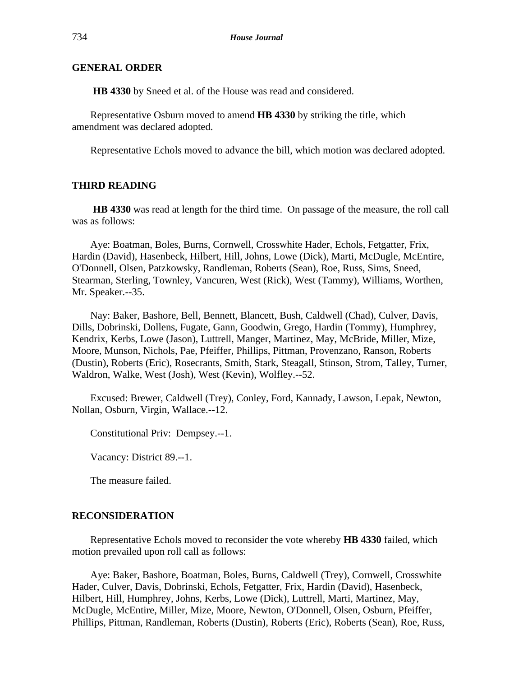### **GENERAL ORDER**

**HB 4330** by Sneed et al. of the House was read and considered.

Representative Osburn moved to amend **HB 4330** by striking the title, which amendment was declared adopted.

Representative Echols moved to advance the bill, which motion was declared adopted.

## **THIRD READING**

**HB 4330** was read at length for the third time. On passage of the measure, the roll call was as follows:

Aye: Boatman, Boles, Burns, Cornwell, Crosswhite Hader, Echols, Fetgatter, Frix, Hardin (David), Hasenbeck, Hilbert, Hill, Johns, Lowe (Dick), Marti, McDugle, McEntire, O'Donnell, Olsen, Patzkowsky, Randleman, Roberts (Sean), Roe, Russ, Sims, Sneed, Stearman, Sterling, Townley, Vancuren, West (Rick), West (Tammy), Williams, Worthen, Mr. Speaker.--35.

Nay: Baker, Bashore, Bell, Bennett, Blancett, Bush, Caldwell (Chad), Culver, Davis, Dills, Dobrinski, Dollens, Fugate, Gann, Goodwin, Grego, Hardin (Tommy), Humphrey, Kendrix, Kerbs, Lowe (Jason), Luttrell, Manger, Martinez, May, McBride, Miller, Mize, Moore, Munson, Nichols, Pae, Pfeiffer, Phillips, Pittman, Provenzano, Ranson, Roberts (Dustin), Roberts (Eric), Rosecrants, Smith, Stark, Steagall, Stinson, Strom, Talley, Turner, Waldron, Walke, West (Josh), West (Kevin), Wolfley.--52.

Excused: Brewer, Caldwell (Trey), Conley, Ford, Kannady, Lawson, Lepak, Newton, Nollan, Osburn, Virgin, Wallace.--12.

Constitutional Priv: Dempsey.--1.

Vacancy: District 89.--1.

The measure failed.

## **RECONSIDERATION**

Representative Echols moved to reconsider the vote whereby **HB 4330** failed, which motion prevailed upon roll call as follows:

Aye: Baker, Bashore, Boatman, Boles, Burns, Caldwell (Trey), Cornwell, Crosswhite Hader, Culver, Davis, Dobrinski, Echols, Fetgatter, Frix, Hardin (David), Hasenbeck, Hilbert, Hill, Humphrey, Johns, Kerbs, Lowe (Dick), Luttrell, Marti, Martinez, May, McDugle, McEntire, Miller, Mize, Moore, Newton, O'Donnell, Olsen, Osburn, Pfeiffer, Phillips, Pittman, Randleman, Roberts (Dustin), Roberts (Eric), Roberts (Sean), Roe, Russ,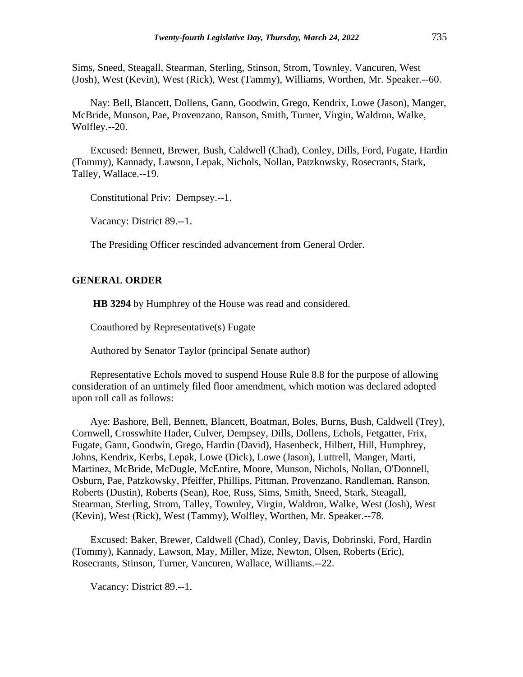Sims, Sneed, Steagall, Stearman, Sterling, Stinson, Strom, Townley, Vancuren, West (Josh), West (Kevin), West (Rick), West (Tammy), Williams, Worthen, Mr. Speaker.--60.

Nay: Bell, Blancett, Dollens, Gann, Goodwin, Grego, Kendrix, Lowe (Jason), Manger, McBride, Munson, Pae, Provenzano, Ranson, Smith, Turner, Virgin, Waldron, Walke, Wolfley.--20.

Excused: Bennett, Brewer, Bush, Caldwell (Chad), Conley, Dills, Ford, Fugate, Hardin (Tommy), Kannady, Lawson, Lepak, Nichols, Nollan, Patzkowsky, Rosecrants, Stark, Talley, Wallace.--19.

Constitutional Priv: Dempsey.--1.

Vacancy: District 89.--1.

The Presiding Officer rescinded advancement from General Order.

#### **GENERAL ORDER**

**HB 3294** by Humphrey of the House was read and considered.

Coauthored by Representative(s) Fugate

Authored by Senator Taylor (principal Senate author)

Representative Echols moved to suspend House Rule 8.8 for the purpose of allowing consideration of an untimely filed floor amendment, which motion was declared adopted upon roll call as follows:

Aye: Bashore, Bell, Bennett, Blancett, Boatman, Boles, Burns, Bush, Caldwell (Trey), Cornwell, Crosswhite Hader, Culver, Dempsey, Dills, Dollens, Echols, Fetgatter, Frix, Fugate, Gann, Goodwin, Grego, Hardin (David), Hasenbeck, Hilbert, Hill, Humphrey, Johns, Kendrix, Kerbs, Lepak, Lowe (Dick), Lowe (Jason), Luttrell, Manger, Marti, Martinez, McBride, McDugle, McEntire, Moore, Munson, Nichols, Nollan, O'Donnell, Osburn, Pae, Patzkowsky, Pfeiffer, Phillips, Pittman, Provenzano, Randleman, Ranson, Roberts (Dustin), Roberts (Sean), Roe, Russ, Sims, Smith, Sneed, Stark, Steagall, Stearman, Sterling, Strom, Talley, Townley, Virgin, Waldron, Walke, West (Josh), West (Kevin), West (Rick), West (Tammy), Wolfley, Worthen, Mr. Speaker.--78.

Excused: Baker, Brewer, Caldwell (Chad), Conley, Davis, Dobrinski, Ford, Hardin (Tommy), Kannady, Lawson, May, Miller, Mize, Newton, Olsen, Roberts (Eric), Rosecrants, Stinson, Turner, Vancuren, Wallace, Williams.--22.

Vacancy: District 89.--1.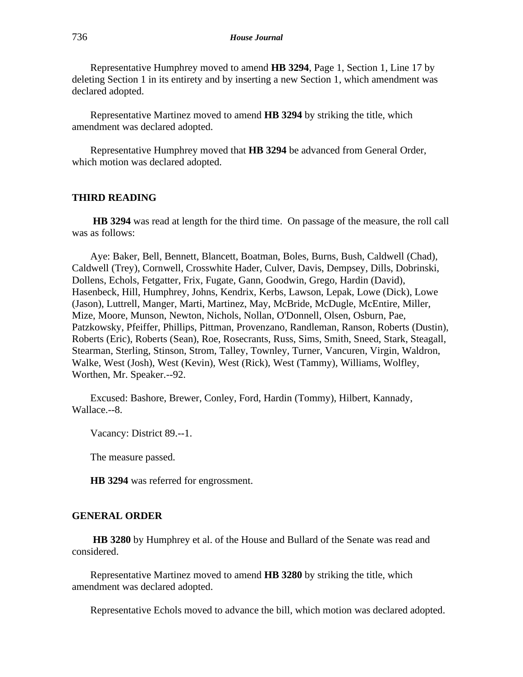Representative Humphrey moved to amend **HB 3294**, Page 1, Section 1, Line 17 by deleting Section 1 in its entirety and by inserting a new Section 1, which amendment was declared adopted.

Representative Martinez moved to amend **HB 3294** by striking the title, which amendment was declared adopted.

Representative Humphrey moved that **HB 3294** be advanced from General Order, which motion was declared adopted.

## **THIRD READING**

**HB 3294** was read at length for the third time. On passage of the measure, the roll call was as follows:

Aye: Baker, Bell, Bennett, Blancett, Boatman, Boles, Burns, Bush, Caldwell (Chad), Caldwell (Trey), Cornwell, Crosswhite Hader, Culver, Davis, Dempsey, Dills, Dobrinski, Dollens, Echols, Fetgatter, Frix, Fugate, Gann, Goodwin, Grego, Hardin (David), Hasenbeck, Hill, Humphrey, Johns, Kendrix, Kerbs, Lawson, Lepak, Lowe (Dick), Lowe (Jason), Luttrell, Manger, Marti, Martinez, May, McBride, McDugle, McEntire, Miller, Mize, Moore, Munson, Newton, Nichols, Nollan, O'Donnell, Olsen, Osburn, Pae, Patzkowsky, Pfeiffer, Phillips, Pittman, Provenzano, Randleman, Ranson, Roberts (Dustin), Roberts (Eric), Roberts (Sean), Roe, Rosecrants, Russ, Sims, Smith, Sneed, Stark, Steagall, Stearman, Sterling, Stinson, Strom, Talley, Townley, Turner, Vancuren, Virgin, Waldron, Walke, West (Josh), West (Kevin), West (Rick), West (Tammy), Williams, Wolfley, Worthen, Mr. Speaker.--92.

Excused: Bashore, Brewer, Conley, Ford, Hardin (Tommy), Hilbert, Kannady, Wallace.--8.

Vacancy: District 89.--1.

The measure passed.

**HB 3294** was referred for engrossment.

#### **GENERAL ORDER**

**HB 3280** by Humphrey et al. of the House and Bullard of the Senate was read and considered.

Representative Martinez moved to amend **HB 3280** by striking the title, which amendment was declared adopted.

Representative Echols moved to advance the bill, which motion was declared adopted.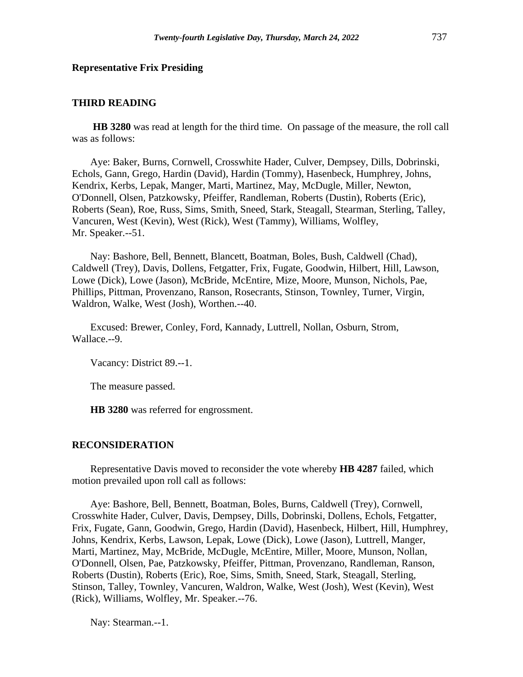#### **Representative Frix Presiding**

## **THIRD READING**

**HB 3280** was read at length for the third time. On passage of the measure, the roll call was as follows:

Aye: Baker, Burns, Cornwell, Crosswhite Hader, Culver, Dempsey, Dills, Dobrinski, Echols, Gann, Grego, Hardin (David), Hardin (Tommy), Hasenbeck, Humphrey, Johns, Kendrix, Kerbs, Lepak, Manger, Marti, Martinez, May, McDugle, Miller, Newton, O'Donnell, Olsen, Patzkowsky, Pfeiffer, Randleman, Roberts (Dustin), Roberts (Eric), Roberts (Sean), Roe, Russ, Sims, Smith, Sneed, Stark, Steagall, Stearman, Sterling, Talley, Vancuren, West (Kevin), West (Rick), West (Tammy), Williams, Wolfley, Mr. Speaker.--51.

Nay: Bashore, Bell, Bennett, Blancett, Boatman, Boles, Bush, Caldwell (Chad), Caldwell (Trey), Davis, Dollens, Fetgatter, Frix, Fugate, Goodwin, Hilbert, Hill, Lawson, Lowe (Dick), Lowe (Jason), McBride, McEntire, Mize, Moore, Munson, Nichols, Pae, Phillips, Pittman, Provenzano, Ranson, Rosecrants, Stinson, Townley, Turner, Virgin, Waldron, Walke, West (Josh), Worthen.--40.

Excused: Brewer, Conley, Ford, Kannady, Luttrell, Nollan, Osburn, Strom, Wallace.--9.

Vacancy: District 89.--1.

The measure passed.

**HB 3280** was referred for engrossment.

#### **RECONSIDERATION**

Representative Davis moved to reconsider the vote whereby **HB 4287** failed, which motion prevailed upon roll call as follows:

Aye: Bashore, Bell, Bennett, Boatman, Boles, Burns, Caldwell (Trey), Cornwell, Crosswhite Hader, Culver, Davis, Dempsey, Dills, Dobrinski, Dollens, Echols, Fetgatter, Frix, Fugate, Gann, Goodwin, Grego, Hardin (David), Hasenbeck, Hilbert, Hill, Humphrey, Johns, Kendrix, Kerbs, Lawson, Lepak, Lowe (Dick), Lowe (Jason), Luttrell, Manger, Marti, Martinez, May, McBride, McDugle, McEntire, Miller, Moore, Munson, Nollan, O'Donnell, Olsen, Pae, Patzkowsky, Pfeiffer, Pittman, Provenzano, Randleman, Ranson, Roberts (Dustin), Roberts (Eric), Roe, Sims, Smith, Sneed, Stark, Steagall, Sterling, Stinson, Talley, Townley, Vancuren, Waldron, Walke, West (Josh), West (Kevin), West (Rick), Williams, Wolfley, Mr. Speaker.--76.

Nay: Stearman.--1.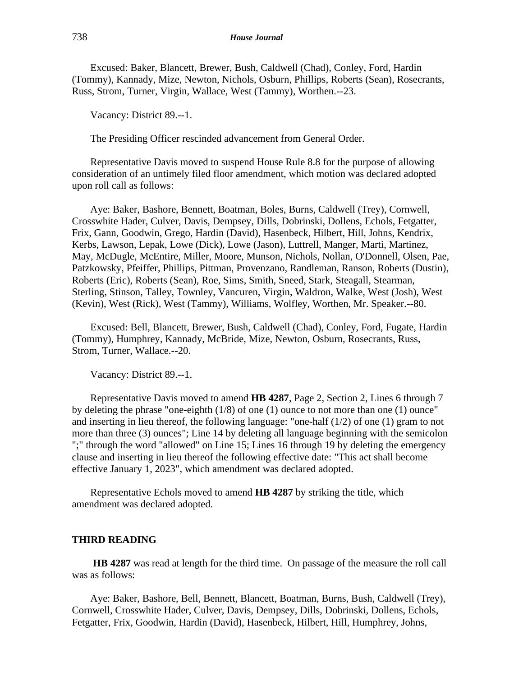Excused: Baker, Blancett, Brewer, Bush, Caldwell (Chad), Conley, Ford, Hardin (Tommy), Kannady, Mize, Newton, Nichols, Osburn, Phillips, Roberts (Sean), Rosecrants, Russ, Strom, Turner, Virgin, Wallace, West (Tammy), Worthen.--23.

Vacancy: District 89.--1.

The Presiding Officer rescinded advancement from General Order.

Representative Davis moved to suspend House Rule 8.8 for the purpose of allowing consideration of an untimely filed floor amendment, which motion was declared adopted upon roll call as follows:

Aye: Baker, Bashore, Bennett, Boatman, Boles, Burns, Caldwell (Trey), Cornwell, Crosswhite Hader, Culver, Davis, Dempsey, Dills, Dobrinski, Dollens, Echols, Fetgatter, Frix, Gann, Goodwin, Grego, Hardin (David), Hasenbeck, Hilbert, Hill, Johns, Kendrix, Kerbs, Lawson, Lepak, Lowe (Dick), Lowe (Jason), Luttrell, Manger, Marti, Martinez, May, McDugle, McEntire, Miller, Moore, Munson, Nichols, Nollan, O'Donnell, Olsen, Pae, Patzkowsky, Pfeiffer, Phillips, Pittman, Provenzano, Randleman, Ranson, Roberts (Dustin), Roberts (Eric), Roberts (Sean), Roe, Sims, Smith, Sneed, Stark, Steagall, Stearman, Sterling, Stinson, Talley, Townley, Vancuren, Virgin, Waldron, Walke, West (Josh), West (Kevin), West (Rick), West (Tammy), Williams, Wolfley, Worthen, Mr. Speaker.--80.

Excused: Bell, Blancett, Brewer, Bush, Caldwell (Chad), Conley, Ford, Fugate, Hardin (Tommy), Humphrey, Kannady, McBride, Mize, Newton, Osburn, Rosecrants, Russ, Strom, Turner, Wallace.--20.

Vacancy: District 89.--1.

Representative Davis moved to amend **HB 4287**, Page 2, Section 2, Lines 6 through 7 by deleting the phrase "one-eighth (1/8) of one (1) ounce to not more than one (1) ounce" and inserting in lieu thereof, the following language: "one-half  $(1/2)$  of one  $(1)$  gram to not more than three (3) ounces"; Line 14 by deleting all language beginning with the semicolon ";" through the word "allowed" on Line 15; Lines 16 through 19 by deleting the emergency clause and inserting in lieu thereof the following effective date: "This act shall become effective January 1, 2023", which amendment was declared adopted.

Representative Echols moved to amend **HB 4287** by striking the title, which amendment was declared adopted.

#### **THIRD READING**

**HB 4287** was read at length for the third time. On passage of the measure the roll call was as follows:

Aye: Baker, Bashore, Bell, Bennett, Blancett, Boatman, Burns, Bush, Caldwell (Trey), Cornwell, Crosswhite Hader, Culver, Davis, Dempsey, Dills, Dobrinski, Dollens, Echols, Fetgatter, Frix, Goodwin, Hardin (David), Hasenbeck, Hilbert, Hill, Humphrey, Johns,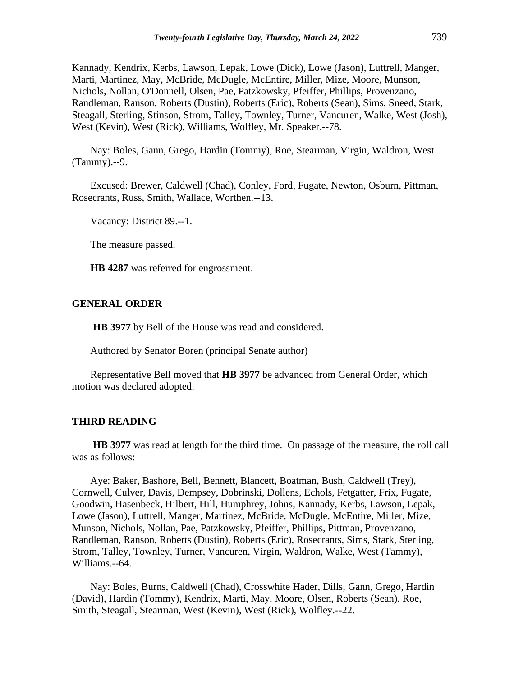Kannady, Kendrix, Kerbs, Lawson, Lepak, Lowe (Dick), Lowe (Jason), Luttrell, Manger, Marti, Martinez, May, McBride, McDugle, McEntire, Miller, Mize, Moore, Munson, Nichols, Nollan, O'Donnell, Olsen, Pae, Patzkowsky, Pfeiffer, Phillips, Provenzano, Randleman, Ranson, Roberts (Dustin), Roberts (Eric), Roberts (Sean), Sims, Sneed, Stark, Steagall, Sterling, Stinson, Strom, Talley, Townley, Turner, Vancuren, Walke, West (Josh), West (Kevin), West (Rick), Williams, Wolfley, Mr. Speaker.--78.

Nay: Boles, Gann, Grego, Hardin (Tommy), Roe, Stearman, Virgin, Waldron, West (Tammy).--9.

Excused: Brewer, Caldwell (Chad), Conley, Ford, Fugate, Newton, Osburn, Pittman, Rosecrants, Russ, Smith, Wallace, Worthen.--13.

Vacancy: District 89.--1.

The measure passed.

**HB 4287** was referred for engrossment.

#### **GENERAL ORDER**

**HB 3977** by Bell of the House was read and considered.

Authored by Senator Boren (principal Senate author)

Representative Bell moved that **HB 3977** be advanced from General Order, which motion was declared adopted.

#### **THIRD READING**

**HB 3977** was read at length for the third time. On passage of the measure, the roll call was as follows:

Aye: Baker, Bashore, Bell, Bennett, Blancett, Boatman, Bush, Caldwell (Trey), Cornwell, Culver, Davis, Dempsey, Dobrinski, Dollens, Echols, Fetgatter, Frix, Fugate, Goodwin, Hasenbeck, Hilbert, Hill, Humphrey, Johns, Kannady, Kerbs, Lawson, Lepak, Lowe (Jason), Luttrell, Manger, Martinez, McBride, McDugle, McEntire, Miller, Mize, Munson, Nichols, Nollan, Pae, Patzkowsky, Pfeiffer, Phillips, Pittman, Provenzano, Randleman, Ranson, Roberts (Dustin), Roberts (Eric), Rosecrants, Sims, Stark, Sterling, Strom, Talley, Townley, Turner, Vancuren, Virgin, Waldron, Walke, West (Tammy), Williams.--64.

Nay: Boles, Burns, Caldwell (Chad), Crosswhite Hader, Dills, Gann, Grego, Hardin (David), Hardin (Tommy), Kendrix, Marti, May, Moore, Olsen, Roberts (Sean), Roe, Smith, Steagall, Stearman, West (Kevin), West (Rick), Wolfley.--22.